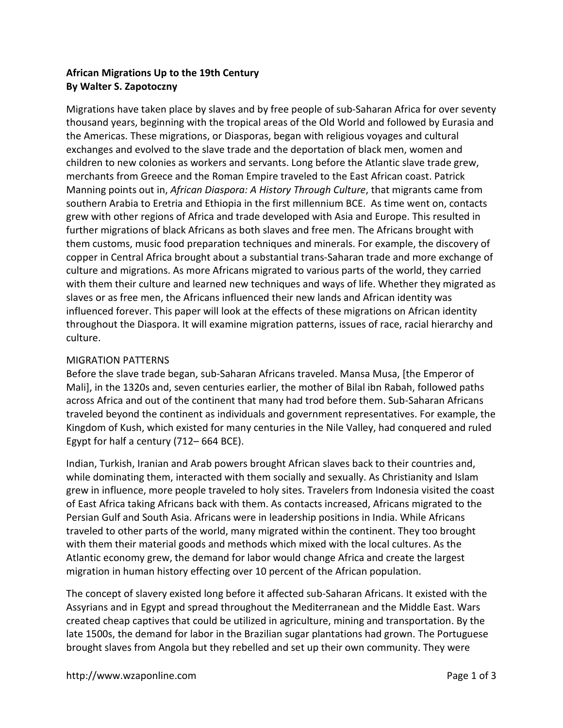# **African Migrations Up to the 19th Century By Walter S. Zapotoczny**

Migrations have taken place by slaves and by free people of sub-Saharan Africa for over seventy thousand years, beginning with the tropical areas of the Old World and followed by Eurasia and the Americas. These migrations, or Diasporas, began with religious voyages and cultural exchanges and evolved to the slave trade and the deportation of black men, women and children to new colonies as workers and servants. Long before the Atlantic slave trade grew, merchants from Greece and the Roman Empire traveled to the East African coast. Patrick Manning points out in, *African Diaspora: A History Through Culture*, that migrants came from southern Arabia to Eretria and Ethiopia in the first millennium BCE. As time went on, contacts grew with other regions of Africa and trade developed with Asia and Europe. This resulted in further migrations of black Africans as both slaves and free men. The Africans brought with them customs, music food preparation techniques and minerals. For example, the discovery of copper in Central Africa brought about a substantial trans-Saharan trade and more exchange of culture and migrations. As more Africans migrated to various parts of the world, they carried with them their culture and learned new techniques and ways of life. Whether they migrated as slaves or as free men, the Africans influenced their new lands and African identity was influenced forever. This paper will look at the effects of these migrations on African identity throughout the Diaspora. It will examine migration patterns, issues of race, racial hierarchy and culture.

## MIGRATION PATTERNS

Before the slave trade began, sub-Saharan Africans traveled. Mansa Musa, [the Emperor of Mali], in the 1320s and, seven centuries earlier, the mother of Bilal ibn Rabah, followed paths across Africa and out of the continent that many had trod before them. Sub-Saharan Africans traveled beyond the continent as individuals and government representatives. For example, the Kingdom of Kush, which existed for many centuries in the Nile Valley, had conquered and ruled Egypt for half a century (712– 664 BCE).

Indian, Turkish, Iranian and Arab powers brought African slaves back to their countries and, while dominating them, interacted with them socially and sexually. As Christianity and Islam grew in influence, more people traveled to holy sites. Travelers from Indonesia visited the coast of East Africa taking Africans back with them. As contacts increased, Africans migrated to the Persian Gulf and South Asia. Africans were in leadership positions in India. While Africans traveled to other parts of the world, many migrated within the continent. They too brought with them their material goods and methods which mixed with the local cultures. As the Atlantic economy grew, the demand for labor would change Africa and create the largest migration in human history effecting over 10 percent of the African population.

The concept of slavery existed long before it affected sub-Saharan Africans. It existed with the Assyrians and in Egypt and spread throughout the Mediterranean and the Middle East. Wars created cheap captives that could be utilized in agriculture, mining and transportation. By the late 1500s, the demand for labor in the Brazilian sugar plantations had grown. The Portuguese brought slaves from Angola but they rebelled and set up their own community. They were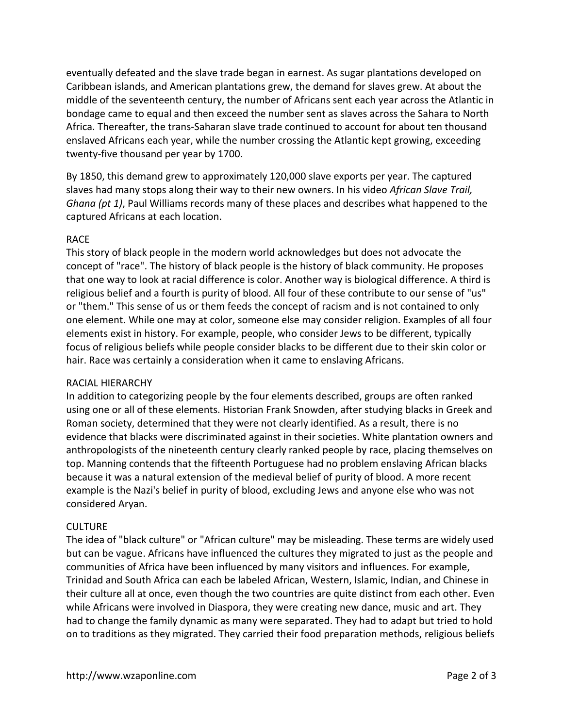eventually defeated and the slave trade began in earnest. As sugar plantations developed on Caribbean islands, and American plantations grew, the demand for slaves grew. At about the middle of the seventeenth century, the number of Africans sent each year across the Atlantic in bondage came to equal and then exceed the number sent as slaves across the Sahara to North Africa. Thereafter, the trans-Saharan slave trade continued to account for about ten thousand enslaved Africans each year, while the number crossing the Atlantic kept growing, exceeding twenty-five thousand per year by 1700.

By 1850, this demand grew to approximately 120,000 slave exports per year. The captured slaves had many stops along their way to their new owners. In his video *African Slave Trail, Ghana (pt 1)*, Paul Williams records many of these places and describes what happened to the captured Africans at each location.

#### RACE

This story of black people in the modern world acknowledges but does not advocate the concept of "race". The history of black people is the history of black community. He proposes that one way to look at racial difference is color. Another way is biological difference. A third is religious belief and a fourth is purity of blood. All four of these contribute to our sense of "us" or "them." This sense of us or them feeds the concept of racism and is not contained to only one element. While one may at color, someone else may consider religion. Examples of all four elements exist in history. For example, people, who consider Jews to be different, typically focus of religious beliefs while people consider blacks to be different due to their skin color or hair. Race was certainly a consideration when it came to enslaving Africans.

#### RACIAL HIERARCHY

In addition to categorizing people by the four elements described, groups are often ranked using one or all of these elements. Historian Frank Snowden, after studying blacks in Greek and Roman society, determined that they were not clearly identified. As a result, there is no evidence that blacks were discriminated against in their societies. White plantation owners and anthropologists of the nineteenth century clearly ranked people by race, placing themselves on top. Manning contends that the fifteenth Portuguese had no problem enslaving African blacks because it was a natural extension of the medieval belief of purity of blood. A more recent example is the Nazi's belief in purity of blood, excluding Jews and anyone else who was not considered Aryan.

#### CULTURE

The idea of "black culture" or "African culture" may be misleading. These terms are widely used but can be vague. Africans have influenced the cultures they migrated to just as the people and communities of Africa have been influenced by many visitors and influences. For example, Trinidad and South Africa can each be labeled African, Western, Islamic, Indian, and Chinese in their culture all at once, even though the two countries are quite distinct from each other. Even while Africans were involved in Diaspora, they were creating new dance, music and art. They had to change the family dynamic as many were separated. They had to adapt but tried to hold on to traditions as they migrated. They carried their food preparation methods, religious beliefs